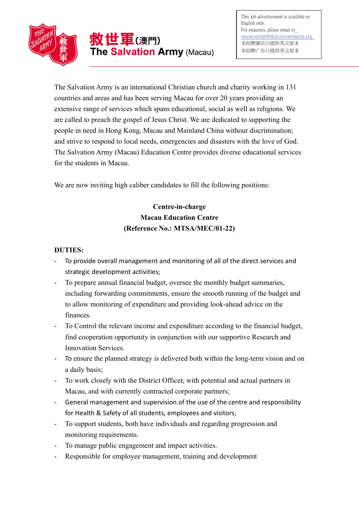

The Salvation Army is an international Christian church and charity working in 131 countries and areas and has been serving Macau for over 20 years providing an extensive range of services which spans educational, social as well as religions. We are called to preach the gospel of Jesus Christ. We are dedicated to supporting the people in need in Hong Kong, Macau and Mainland China without discrimination; and strive to respond to local needs, emergencies and disasters with the love of God. The Salvation Army (Macau) Education Centre provides diverse educational services for the students in Macau.

We are now inviting high caliber candidates to fill the following positions:

## Centre-in-charge Macau Education Centre (Reference No.: MTSA/MEC/01-22)

## DUTIES:

- To provide overall management and monitoring of all of the direct services and strategic development activities;
- To prepare annual financial budget, oversee the monthly budget summaries, including forwarding commitments, ensure the smooth running of the budget and to allow monitoring of expenditure and providing look-ahead advice on the finances.
- To Control the relevant income and expenditure according to the financial budget, find cooperation opportunity in conjunction with our supportive Research and Innovation Services.
- To ensure the planned strategy is delivered both within the long-term vision and on a daily basis;
- To work closely with the District Officer, with potential and actual partners in Macau, and with currently contracted corporate partners;
- General management and supervision of the use of the centre and responsibility for Health & Safety of all students, employees and visitors;
- To support students, both have individuals and regarding progression and monitoring requirements.
- To manage public engagement and impact activities.
- Responsible for employee management, training and development